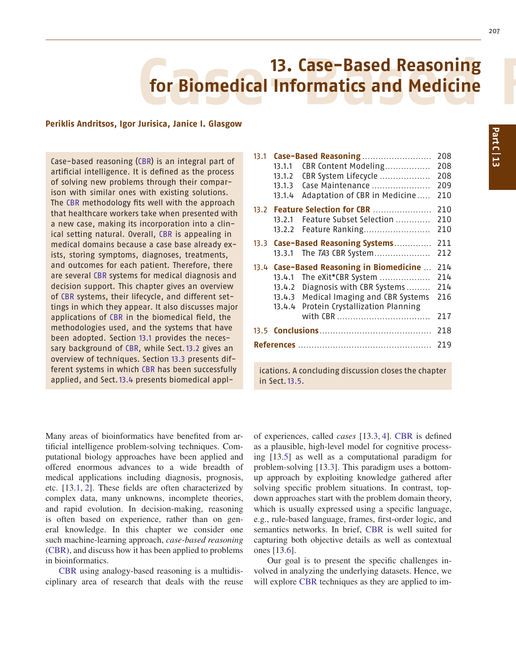**Part C**

**13**

# <span id="page-0-0"></span>**For Biomedical Informatics and Medicine for Biomedical Informatics and Medicine**

#### **Periklis Andritsos, Igor Jurisica, Janice I. Glasgow**

Case-based reasoning (CBR) is an integral part of artificial intelligence. It is defined as the process of solving new problems through their comparison with similar ones with existing solutions. The CBR methodology fits well with the approach that healthcare workers take when presented with a new case, making its incorporation into a clinical setting natural. Overall, CBR is appealing in medical domains because a case base already exists, storing symptoms, diagnoses, treatments, and outcomes for each patient. Therefore, there are several CBR systems for medical diagnosis and decision support. This chapter gives an overview of CBR systems, their lifecycle, and different settings in which they appear. It also discusses major applications of CBR in the biomedical field, the methodologies used, and the systems that have been adopted. Section [13.1](#page-1-0) provides the necessary background of CBR, while Sect.[13.2](#page-3-0) gives an overview of techniques. Section [13.3](#page-4-0) presents different systems in which CBR has been successfully applied, and Sect.[13.4](#page-7-0) presents biomedical appl-

| 13.1 | 13.1.1<br>13.1.2<br>13.1.3<br>13.1.4 | Case-Based Reasoning<br>CBR Content Modeling<br>CBR System Lifecycle<br>Case Maintenance<br>Adaptation of CBR in Medicine                                       | 208<br>208<br>208<br>209<br>210 |
|------|--------------------------------------|-----------------------------------------------------------------------------------------------------------------------------------------------------------------|---------------------------------|
| 13.2 | 13.2.1<br>13.2.2                     | <b>Feature Selection for CBR</b><br>Feature Subset Selection<br>Feature Ranking                                                                                 | 210<br>210<br>210               |
| 13.3 | 13.3.1                               | Case-Based Reasoning Systems<br>The TA3 CBR System                                                                                                              | 211<br>212                      |
| 13.4 | 13.4.1<br>13.4.2<br>13.4.3<br>13.4.4 | Case-Based Reasoning in Biomedicine<br>The eXit*CBR System<br>Diagnosis with CBR Systems<br>Medical Imaging and CBR Systems<br>Protein Crystallization Planning | 214<br>214<br>214<br>216<br>217 |
|      |                                      |                                                                                                                                                                 | 218                             |
| 219  |                                      |                                                                                                                                                                 |                                 |

<span id="page-0-2"></span>ications. A concluding discussion closes the chapter in Sect.[13.5.](#page-11-0)

<span id="page-0-1"></span>Many areas of bioinformatics have benefited from artificial intelligence problem-solving techniques. Computational biology approaches have been applied and offered enormous advances to a wide breadth of medical applications including diagnosis, prognosis, etc. [13.[1](#page-12-1), [2\]](#page-12-2). These fields are often characterized by complex data, many unknowns, incomplete theories, and rapid evolution. In decision-making, reasoning is often based on experience, rather than on general knowledge. In this chapter we consider one such machine-learning approach, *case-based reasoning* (CBR), and discuss how it has been applied to problems in bioinformatics.

CBR using analogy-based reasoning is a multidisciplinary area of research that deals with the reuse <span id="page-0-3"></span>of experiences, called *cases* [13[.3,](#page-12-3) [4](#page-12-4)]. CBR is defined as a plausible, high-level model for cognitive processing [13[.5\]](#page-12-5) as well as a computational paradigm for problem-solving [13[.3\]](#page-12-3). This paradigm uses a bottomup approach by exploiting knowledge gathered after solving specific problem situations. In contrast, topdown approaches start with the problem domain theory, which is usually expressed using a specific language, e.g., rule-based language, frames, first-order logic, and semantics networks. In brief, CBR is well suited for capturing both objective details as well as contextual ones [13[.6\]](#page-12-6).

Our goal is to present the specific challenges involved in analyzing the underlying datasets. Hence, we will explore CBR techniques as they are applied to im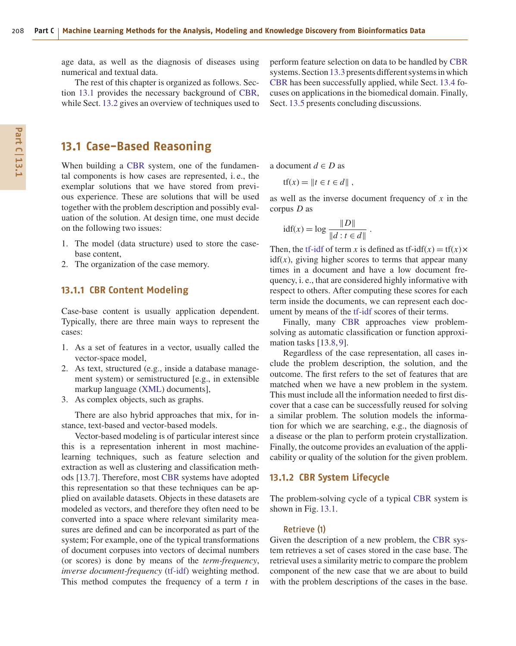<span id="page-1-0"></span>age data, as well as the diagnosis of diseases using numerical and textual data.

The rest of this chapter is organized as follows. Section [13.1](#page-1-0) provides the necessary background of CBR, while Sect. [13.2](#page-3-0) gives an overview of techniques used to

perform feature selection on data to be handled by CBR systems. Section [13.3](#page-4-0) presents different systems in which CBR has been successfully applied, while Sect. [13.4](#page-7-0) focuses on applications in the biomedical domain. Finally, Sect. [13.5](#page-11-0) presents concluding discussions.

# <span id="page-1-1"></span>**[13.1](#page-1-0) Case-Based Reasoning**

When building a CBR system, one of the fundamental components is how cases are represented, i. e., the exemplar solutions that we have stored from previous experience. These are solutions that will be used together with the problem description and possibly evaluation of the solution. At design time, one must decide on the following two issues:

- 1. The model (data structure) used to store the casebase content,
- 2. The organization of the case memory.

#### **[13.1.1](#page-1-1) CBR Content Modeling**

Case-base content is usually application dependent. Typically, there are three main ways to represent the cases:

- 1. As a set of features in a vector, usually called the vector-space model,
- 2. As text, structured (e.g., inside a database management system) or semistructured [e.g., in extensible markup language (XML) documents],
- 3. As complex objects, such as graphs.

There are also hybrid approaches that mix, for instance, text-based and vector-based models.

Vector-based modeling is of particular interest since this is a representation inherent in most machinelearning techniques, such as feature selection and extraction as well as clustering and classification methods [13.[7\]](#page-12-7). Therefore, most CBR systems have adopted this representation so that these techniques can be applied on available datasets. Objects in these datasets are modeled as vectors, and therefore they often need to be converted into a space where relevant similarity measures are defined and can be incorporated as part of the system; For example, one of the typical transformations of document corpuses into vectors of decimal numbers (or scores) is done by means of the *term-frequency*, *inverse document-frequency* (tf-idf) weighting method. This method computes the frequency of a term *t* in a document  $d \in D$  as

$$
tf(x) = \|t \in t \in d\|,
$$

as well as the inverse document frequency of *x* in the corpus *D* as

$$
idf(x) = \log \frac{\|D\|}{\|d : t \in d\|}.
$$

Then, the tf-idf of term *x* is defined as tf-idf(*x*) = tf(*x*)  $\times$  $\text{if}(x)$ , giving higher scores to terms that appear many times in a document and have a low document frequency, i. e., that are considered highly informative with respect to others. After computing these scores for each term inside the documents, we can represent each document by means of the tf-idf scores of their terms.

<span id="page-1-2"></span>Finally, many CBR approaches view problemsolving as automatic classification or function approxi-mation tasks [13[.8](#page-12-8), [9](#page-12-9)].

Regardless of the case representation, all cases include the problem description, the solution, and the outcome. The first refers to the set of features that are matched when we have a new problem in the system. This must include all the information needed to first discover that a case can be successfully reused for solving a similar problem. The solution models the information for which we are searching, e.g., the diagnosis of a disease or the plan to perform protein crystallization. Finally, the outcome provides an evaluation of the applicability or quality of the solution for the given problem.

#### **[13.1.2](#page-1-2) CBR System Lifecycle**

The problem-solving cycle of a typical CBR system is shown in Fig. [13.1](#page-2-1).

#### Retrieve (1)

Given the description of a new problem, the CBR system retrieves a set of cases stored in the case base. The retrieval uses a similarity metric to compare the problem component of the new case that we are about to build with the problem descriptions of the cases in the base.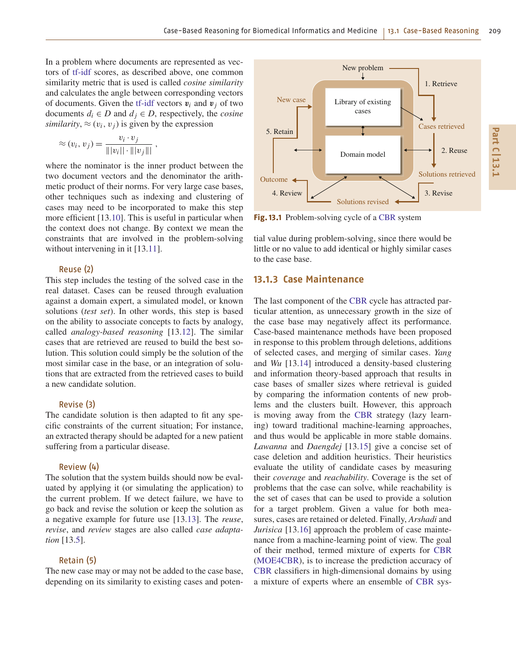<span id="page-2-2"></span>In a problem where documents are represented as vectors of tf-idf scores, as described above, one common similarity metric that is used is called *cosine similarity* and calculates the angle between corresponding vectors of documents. Given the tf-idf vectors  $v_i$  and  $v_j$  of two documents  $d_i$  ∈ *D* and  $d_i$  ∈ *D*, respectively, the *cosine similarity*,  $\approx$  ( $v_i$ ,  $v_j$ ) is given by the expression

<span id="page-2-4"></span><span id="page-2-3"></span>
$$
\approx (v_i, v_j) = \frac{v_i \cdot v_j}{\| |v_i|| \cdot \| |v_j||},
$$

where the nominator is the inner product between the two document vectors and the denominator the arithmetic product of their norms. For very large case bases, other techniques such as indexing and clustering of cases may need to be incorporated to make this step more efficient [13[.10\]](#page-12-10). This is useful in particular when the context does not change. By context we mean the constraints that are involved in the problem-solving without intervening in it [13[.11\]](#page-12-11).

## Reuse (2)

This step includes the testing of the solved case in the real dataset. Cases can be reused through evaluation against a domain expert, a simulated model, or known solutions (*test set*). In other words, this step is based on the ability to associate concepts to facts by analogy, called *analogy-based reasoning* [13.[12](#page-12-12)]. The similar cases that are retrieved are reused to build the best solution. This solution could simply be the solution of the most similar case in the base, or an integration of solutions that are extracted from the retrieved cases to build a new candidate solution.

#### Revise (3)

The candidate solution is then adapted to fit any specific constraints of the current situation; For instance, an extracted therapy should be adapted for a new patient suffering from a particular disease.

#### Review (4)

The solution that the system builds should now be evaluated by applying it (or simulating the application) to the current problem. If we detect failure, we have to go back and revise the solution or keep the solution as a negative example for future use [13.[13](#page-12-13)]. The *reuse*, *revise*, and *review* stages are also called *case adaptation* [13[.5](#page-12-5)].

#### Retain (5)

The new case may or may not be added to the case base, depending on its similarity to existing cases and poten-

<span id="page-2-1"></span><span id="page-2-0"></span>

<span id="page-2-5"></span>**Fig. 13.1** Problem-solving cycle of a CBR system

tial value during problem-solving, since there would be little or no value to add identical or highly similar cases to the case base.

## **[13.1.3](#page-2-0) Case Maintenance**

<span id="page-2-7"></span><span id="page-2-6"></span>The last component of the CBR cycle has attracted particular attention, as unnecessary growth in the size of the case base may negatively affect its performance. Case-based maintenance methods have been proposed in response to this problem through deletions, additions of selected cases, and merging of similar cases. *Yang* and *Wu* [13.[14](#page-12-14)] introduced a density-based clustering and information theory-based approach that results in case bases of smaller sizes where retrieval is guided by comparing the information contents of new problems and the clusters built. However, this approach is moving away from the CBR strategy (lazy learning) toward traditional machine-learning approaches, and thus would be applicable in more stable domains. *Lawanna* and *Daengdej* [13[.15\]](#page-12-15) give a concise set of case deletion and addition heuristics. Their heuristics evaluate the utility of candidate cases by measuring their *coverage* and *reachability*. Coverage is the set of problems that the case can solve, while reachability is the set of cases that can be used to provide a solution for a target problem. Given a value for both measures, cases are retained or deleted. Finally, *Arshadi* and *Jurisica* [13.[16](#page-12-16)] approach the problem of case maintenance from a machine-learning point of view. The goal of their method, termed mixture of experts for CBR (MOE4CBR), is to increase the prediction accuracy of CBR classifiers in high-dimensional domains by using a mixture of experts where an ensemble of CBR sys-

Springer Handbook *of* Bio-/Neuroinformatics *Kasabov (Ed.)* • © Springer 2014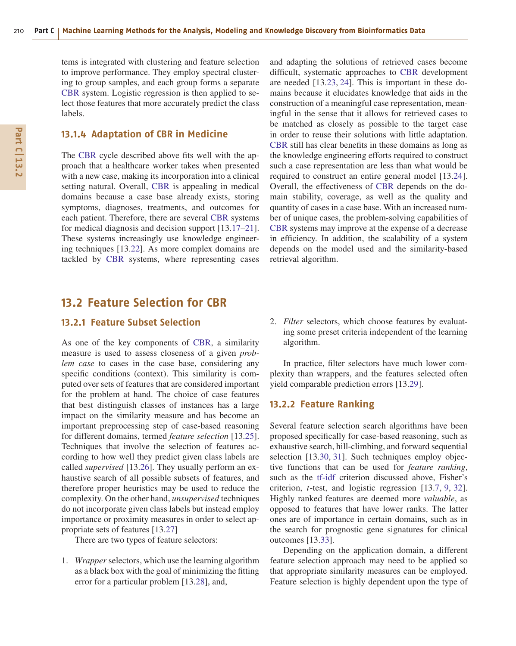<span id="page-3-1"></span>tems is integrated with clustering and feature selection to improve performance. They employ spectral clustering to group samples, and each group forms a separate CBR system. Logistic regression is then applied to select those features that more accurately predict the class labels.

## <span id="page-3-5"></span>**[13.1.4](#page-3-1) Adaptation of CBR in Medicine**

<span id="page-3-2"></span><span id="page-3-0"></span>The CBR cycle described above fits well with the approach that a healthcare worker takes when presented with a new case, making its incorporation into a clinical setting natural. Overall, CBR is appealing in medical domains because a case base already exists, storing symptoms, diagnoses, treatments, and outcomes for each patient. Therefore, there are several CBR systems for medical diagnosis and decision support [13.[17](#page-12-17)[–21\]](#page-12-18). These systems increasingly use knowledge engineering techniques [13.[22](#page-12-19)]. As more complex domains are tackled by CBR systems, where representing cases <span id="page-3-6"></span><span id="page-3-4"></span>and adapting the solutions of retrieved cases become difficult, systematic approaches to CBR development are needed [13.[23](#page-12-20), [24](#page-12-21)]. This is important in these domains because it elucidates knowledge that aids in the construction of a meaningful case representation, meaningful in the sense that it allows for retrieved cases to be matched as closely as possible to the target case in order to reuse their solutions with little adaptation. CBR still has clear benefits in these domains as long as the knowledge engineering efforts required to construct such a case representation are less than what would be required to construct an entire general model [13[.24\]](#page-12-21). Overall, the effectiveness of CBR depends on the domain stability, coverage, as well as the quality and quantity of cases in a case base. With an increased number of unique cases, the problem-solving capabilities of CBR systems may improve at the expense of a decrease in efficiency. In addition, the scalability of a system depends on the model used and the similarity-based retrieval algorithm.

# **[13.2](#page-3-0) Feature Selection for CBR**

# <span id="page-3-8"></span>**[13.2.1](#page-3-2) Feature Subset Selection**

<span id="page-3-9"></span>As one of the key components of CBR, a similarity measure is used to assess closeness of a given *problem case* to cases in the case base, considering any specific conditions (context). This similarity is computed over sets of features that are considered important for the problem at hand. The choice of case features that best distinguish classes of instances has a large impact on the similarity measure and has become an important preprocessing step of case-based reasoning for different domains, termed *feature selection* [13[.25\]](#page-12-22). Techniques that involve the selection of features according to how well they predict given class labels are called *supervised* [13.[26](#page-12-23)]. They usually perform an exhaustive search of all possible subsets of features, and therefore proper heuristics may be used to reduce the complexity. On the other hand, *unsupervised* techniques do not incorporate given class labels but instead employ importance or proximity measures in order to select appropriate sets of features [13.[27](#page-12-24)]

There are two types of feature selectors:

1. *Wrapper* selectors, which use the learning algorithm as a black box with the goal of minimizing the fitting error for a particular problem [13.[28](#page-12-25)], and,

<span id="page-3-13"></span><span id="page-3-12"></span><span id="page-3-11"></span><span id="page-3-7"></span><span id="page-3-3"></span>2. *Filter* selectors, which choose features by evaluating some preset criteria independent of the learning algorithm.

In practice, filter selectors have much lower complexity than wrappers, and the features selected often yield comparable prediction errors [13[.29\]](#page-12-26).

### <span id="page-3-14"></span>**[13.2.2](#page-3-3) Feature Ranking**

<span id="page-3-10"></span>Several feature selection search algorithms have been proposed specifically for case-based reasoning, such as exhaustive search, hill-climbing, and forward sequential selection [13[.30,](#page-12-27) [31\]](#page-12-28). Such techniques employ objective functions that can be used for *feature ranking*, such as the tf-idf criterion discussed above, Fisher's criterion, *t*-test, and logistic regression [13[.7](#page-12-7), [9](#page-12-9), [32\]](#page-12-29). Highly ranked features are deemed more *valuable*, as opposed to features that have lower ranks. The latter ones are of importance in certain domains, such as in the search for prognostic gene signatures for clinical outcomes [13.[33](#page-13-0)].

Depending on the application domain, a different feature selection approach may need to be applied so that appropriate similarity measures can be employed. Feature selection is highly dependent upon the type of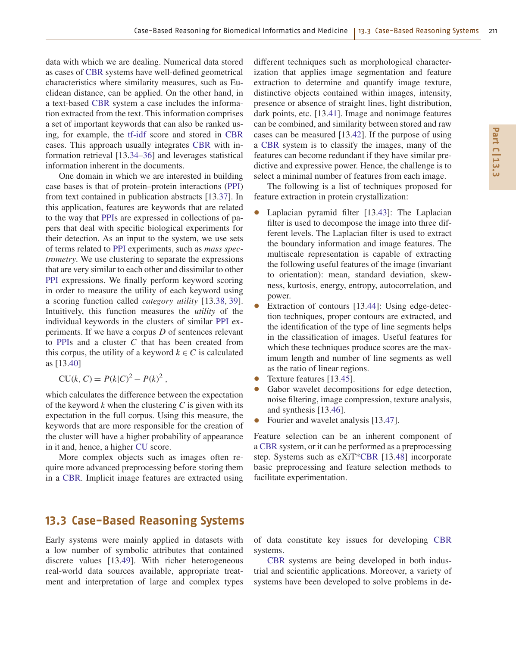<span id="page-4-1"></span>data with which we are dealing. Numerical data stored as cases of CBR systems have well-defined geometrical characteristics where similarity measures, such as Euclidean distance, can be applied. On the other hand, in a text-based CBR system a case includes the information extracted from the text. This information comprises a set of important keywords that can also be ranked using, for example, the tf-idf score and stored in CBR cases. This approach usually integrates CBR with information retrieval [13.[34](#page-13-1)–[36](#page-13-2)] and leverages statistical information inherent in the documents.

<span id="page-4-4"></span>One domain in which we are interested in building case bases is that of protein–protein interactions (PPI) from text contained in publication abstracts [13[.37\]](#page-13-3). In this application, features are keywords that are related to the way that PPIs are expressed in collections of papers that deal with specific biological experiments for their detection. As an input to the system, we use sets of terms related to PPI experiments, such as *mass spectrometry*. We use clustering to separate the expressions that are very similar to each other and dissimilar to other PPI expressions. We finally perform keyword scoring in order to measure the utility of each keyword using a scoring function called *category utility* [13.[38](#page-13-4), [39\]](#page-13-5). Intuitively, this function measures the *utility* of the individual keywords in the clusters of similar PPI experiments. If we have a corpus *D* of sentences relevant to PPIs and a cluster *C* that has been created from this corpus, the utility of a keyword  $k \in C$  is calculated as [13.[40\]](#page-13-6)

$$
CU(k, C) = P(k|C)^{2} - P(k)^{2},
$$

<span id="page-4-0"></span>which calculates the difference between the expectation of the keyword  $k$  when the clustering  $C$  is given with its expectation in the full corpus. Using this measure, the keywords that are more responsible for the creation of the cluster will have a higher probability of appearance in it and, hence, a higher CU score.

More complex objects such as images often require more advanced preprocessing before storing them in a CBR. Implicit image features are extracted using <span id="page-4-6"></span><span id="page-4-5"></span><span id="page-4-2"></span>different techniques such as morphological characterization that applies image segmentation and feature extraction to determine and quantify image texture, distinctive objects contained within images, intensity, presence or absence of straight lines, light distribution, dark points, etc. [13[.41\]](#page-13-7). Image and nonimage features can be combined, and similarity between stored and raw cases can be measured [13.[42](#page-13-8)]. If the purpose of using a CBR system is to classify the images, many of the features can become redundant if they have similar predictive and expressive power. Hence, the challenge is to select a minimal number of features from each image.

<span id="page-4-7"></span><span id="page-4-3"></span>The following is a list of techniques proposed for feature extraction in protein crystallization:

- <span id="page-4-8"></span>Laplacian pyramid filter [13[.43\]](#page-13-9): The Laplacian filter is used to decompose the image into three different levels. The Laplacian filter is used to extract the boundary information and image features. The multiscale representation is capable of extracting the following useful features of the image (invariant to orientation): mean, standard deviation, skewness, kurtosis, energy, entropy, autocorrelation, and power.
- <span id="page-4-10"></span><span id="page-4-9"></span>Extraction of contours [13.[44](#page-13-10)]: Using edge-detection techniques, proper contours are extracted, and the identification of the type of line segments helps in the classification of images. Useful features for which these techniques produce scores are the maximum length and number of line segments as well as the ratio of linear regions.
- Texture features [13.[45](#page-13-11)].
- Gabor wavelet decompositions for edge detection. noise filtering, image compression, texture analysis, and synthesis [13.[46](#page-13-12)].
- Fourier and wavelet analysis [13.[47](#page-13-13)].

Feature selection can be an inherent component of a CBR system, or it can be performed as a preprocessing step. Systems such as eXiT\*CBR [13.[48](#page-13-14)] incorporate basic preprocessing and feature selection methods to facilitate experimentation.

# **[13.3](#page-4-0) Case-Based Reasoning Systems**

Early systems were mainly applied in datasets with a low number of symbolic attributes that contained discrete values [13[.49\]](#page-13-15). With richer heterogeneous real-world data sources available, appropriate treatment and interpretation of large and complex types

of data constitute key issues for developing CBR systems.

CBR systems are being developed in both industrial and scientific applications. Moreover, a variety of systems have been developed to solve problems in de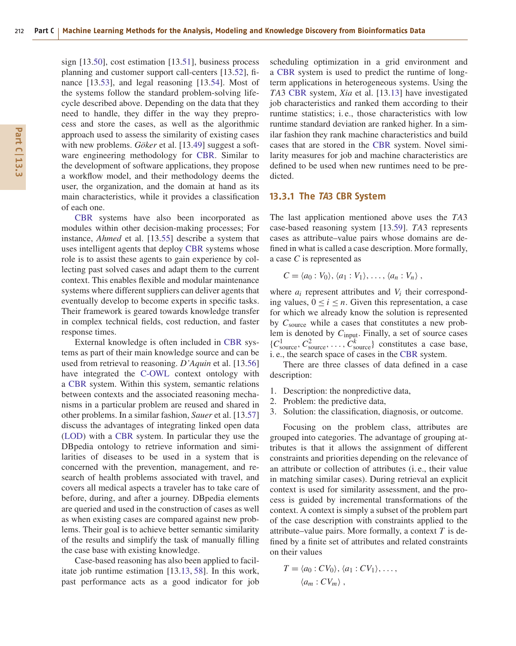<span id="page-5-6"></span><span id="page-5-4"></span><span id="page-5-2"></span><span id="page-5-1"></span>sign [13[.50\]](#page-13-16), cost estimation [13[.51\]](#page-13-17), business process planning and customer support call-centers [13.[52](#page-13-18)], finance [13.[53](#page-13-19)], and legal reasoning [13.[54](#page-13-20)]. Most of the systems follow the standard problem-solving lifecycle described above. Depending on the data that they need to handle, they differ in the way they preprocess and store the cases, as well as the algorithmic approach used to assess the similarity of existing cases with new problems. *Göker* et al. [13.[49](#page-13-15)] suggest a software engineering methodology for CBR. Similar to the development of software applications, they propose a workflow model, and their methodology deems the user, the organization, and the domain at hand as its main characteristics, while it provides a classification of each one.

CBR systems have also been incorporated as modules within other decision-making processes; For instance, *Ahmed* et al. [13[.55\]](#page-13-21) describe a system that uses intelligent agents that deploy CBR systems whose role is to assist these agents to gain experience by collecting past solved cases and adapt them to the current context. This enables flexible and modular maintenance systems where different suppliers can deliver agents that eventually develop to become experts in specific tasks. Their framework is geared towards knowledge transfer in complex technical fields, cost reduction, and faster response times.

<span id="page-5-9"></span>External knowledge is often included in CBR systems as part of their main knowledge source and can be used from retrieval to reasoning. *D'Aquin* et al. [13[.56\]](#page-13-22) have integrated the C-OWL context ontology with a CBR system. Within this system, semantic relations between contexts and the associated reasoning mechanisms in a particular problem are reused and shared in other problems. In a similar fashion, *Sauer* et al. [13[.57\]](#page-13-23) discuss the advantages of integrating linked open data (LOD) with a CBR system. In particular they use the DBpedia ontology to retrieve information and similarities of diseases to be used in a system that is concerned with the prevention, management, and research of health problems associated with travel, and covers all medical aspects a traveler has to take care of before, during, and after a journey. DBpedia elements are queried and used in the construction of cases as well as when existing cases are compared against new problems. Their goal is to achieve better semantic similarity of the results and simplify the task of manually filling the case base with existing knowledge.

Case-based reasoning has also been applied to facilitate job runtime estimation [13[.13](#page-12-13), [58](#page-13-24)]. In this work, past performance acts as a good indicator for job

Springer Handbook *of* Bio-/Neuroinformatics *Kasabov (Ed.)*  $\cdot$  © Springer 2014

<span id="page-5-10"></span><span id="page-5-5"></span><span id="page-5-3"></span><span id="page-5-0"></span>scheduling optimization in a grid environment and a CBR system is used to predict the runtime of longterm applications in heterogeneous systems. Using the *TA*3 CBR system, *Xia* et al. [13[.13\]](#page-12-13) have investigated job characteristics and ranked them according to their runtime statistics; i. e., those characteristics with low runtime standard deviation are ranked higher. In a similar fashion they rank machine characteristics and build cases that are stored in the CBR system. Novel similarity measures for job and machine characteristics are defined to be used when new runtimes need to be predicted.

#### **[13.3.1](#page-5-0) The** *TA***3 CBR System**

<span id="page-5-7"></span>The last application mentioned above uses the *TA*3 case-based reasoning system [13.[59](#page-13-25)]. *TA*3 represents cases as attribute–value pairs whose domains are defined in what is called a case description. More formally, a case *C* is represented as

$$
C = \langle a_0 : V_0 \rangle, \langle a_1 : V_1 \rangle, \ldots, \langle a_n : V_n \rangle,
$$

<span id="page-5-8"></span>where *ai* represent attributes and *Vi* their corresponding values,  $0 \le i \le n$ . Given this representation, a case for which we already know the solution is represented by *C*source while a cases that constitutes a new problem is denoted by *C*input. Finally, a set of source cases  ${C}^1_{\text{source}}, C^2_{\text{source}}, \ldots, C^k_{\text{source}}$  constitutes a case base, i. e., the search space of cases in the CBR system.

There are three classes of data defined in a case description:

- 1. Description: the nonpredictive data,
- 2. Problem: the predictive data,
- 3. Solution: the classification, diagnosis, or outcome.

Focusing on the problem class, attributes are grouped into categories. The advantage of grouping attributes is that it allows the assignment of different constraints and priorities depending on the relevance of an attribute or collection of attributes (i. e., their value in matching similar cases). During retrieval an explicit context is used for similarity assessment, and the process is guided by incremental transformations of the context. A context is simply a subset of the problem part of the case description with constraints applied to the attribute–value pairs. More formally, a context *T* is defined by a finite set of attributes and related constraints on their values

$$
T = \langle a_0 : CV_0 \rangle, \langle a_1 : CV_1 \rangle, \dots,
$$
  

$$
\langle a_m : CV_m \rangle,
$$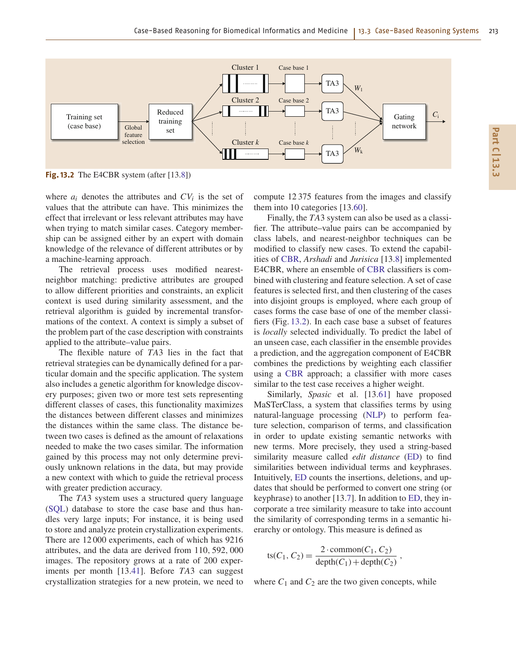<span id="page-6-0"></span>

**Fig. 13.2** The E4CBR system (after [13[.8\]](#page-12-8))

where  $a_i$  denotes the attributes and  $CV_i$  is the set of values that the attribute can have. This minimizes the effect that irrelevant or less relevant attributes may have when trying to match similar cases. Category membership can be assigned either by an expert with domain knowledge of the relevance of different attributes or by a machine-learning approach.

The retrieval process uses modified nearestneighbor matching: predictive attributes are grouped to allow different priorities and constraints, an explicit context is used during similarity assessment, and the retrieval algorithm is guided by incremental transformations of the context. A context is simply a subset of the problem part of the case description with constraints applied to the attribute–value pairs.

The flexible nature of *TA*3 lies in the fact that retrieval strategies can be dynamically defined for a particular domain and the specific application. The system also includes a genetic algorithm for knowledge discovery purposes; given two or more test sets representing different classes of cases, this functionality maximizes the distances between different classes and minimizes the distances within the same class. The distance between two cases is defined as the amount of relaxations needed to make the two cases similar. The information gained by this process may not only determine previously unknown relations in the data, but may provide a new context with which to guide the retrieval process with greater prediction accuracy.

The *TA*3 system uses a structured query language (SQL) database to store the case base and thus handles very large inputs; For instance, it is being used to store and analyze protein crystallization experiments. There are 12 000 experiments, each of which has 9216 attributes, and the data are derived from 110, 592, 000 images. The repository grows at a rate of 200 experiments per month [13[.41\]](#page-13-7). Before *TA*3 can suggest crystallization strategies for a new protein, we need to

<span id="page-6-1"></span>compute 12 375 features from the images and classify them into 10 categories [13[.60\]](#page-13-26).

<span id="page-6-2"></span>Finally, the *TA*3 system can also be used as a classifier. The attribute–value pairs can be accompanied by class labels, and nearest-neighbor techniques can be modified to classify new cases. To extend the capabilities of CBR, *Arshadi* and *Jurisica* [13[.8\]](#page-12-8) implemented E4CBR, where an ensemble of CBR classifiers is combined with clustering and feature selection. A set of case features is selected first, and then clustering of the cases into disjoint groups is employed, where each group of cases forms the case base of one of the member classifiers (Fig. [13.2](#page-6-0)). In each case base a subset of features is *locally* selected individually. To predict the label of an unseen case, each classifier in the ensemble provides a prediction, and the aggregation component of E4CBR combines the predictions by weighting each classifier using a CBR approach; a classifier with more cases similar to the test case receives a higher weight.

Similarly, *Spasic* et al. [13.[61](#page-13-27)] have proposed MaSTerClass, a system that classifies terms by using natural-language processing (NLP) to perform feature selection, comparison of terms, and classification in order to update existing semantic networks with new terms. More precisely, they used a string-based similarity measure called *edit distance* (ED) to find similarities between individual terms and keyphrases. Intuitively, ED counts the insertions, deletions, and updates that should be performed to convert one string (or keyphrase) to another [13.[7\]](#page-12-7). In addition to ED, they incorporate a tree similarity measure to take into account the similarity of corresponding terms in a semantic hierarchy or ontology. This measure is defined as

$$
ts(C_1, C_2) = \frac{2 \cdot \text{common}(C_1, C_2)}{\text{depth}(C_1) + \text{depth}(C_2)},
$$

where  $C_1$  and  $C_2$  are the two given concepts, while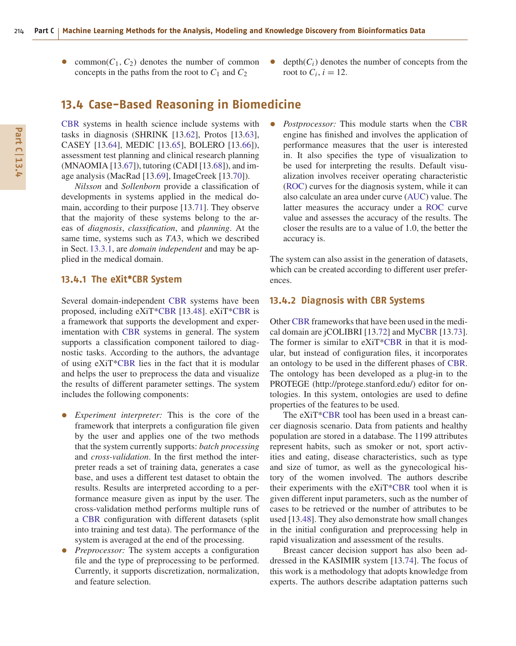- <span id="page-7-11"></span><span id="page-7-10"></span><span id="page-7-8"></span><span id="page-7-6"></span><span id="page-7-5"></span><span id="page-7-3"></span><span id="page-7-0"></span>common $(C_1, C_2)$  denotes the number of common concepts in the paths from the root to  $C_1$  and  $C_2$
- <span id="page-7-9"></span><span id="page-7-7"></span><span id="page-7-4"></span> $depth(C_i)$  denotes the number of concepts from the root to  $C_i$ ,  $i = 12$ .

# **[13.4](#page-7-0) Case-Based Reasoning in Biomedicine**

<span id="page-7-1"></span>CBR systems in health science include systems with tasks in diagnosis (SHRINK [13.[62\]](#page-13-28), Protos [13[.63\]](#page-14-0), CASEY [13.[64](#page-14-1)], MEDIC [13[.65\]](#page-14-2), BOLERO [13.[66](#page-14-3)]), assessment test planning and clinical research planning (MNAOMIA [13.[67](#page-14-4)]), tutoring (CADI [13[.68\]](#page-14-5)), and image analysis (MacRad [13[.69\]](#page-14-6), ImageCreek [13[.70\]](#page-14-7)).

*Nilsson* and *Sollenborn* provide a classification of developments in systems applied in the medical domain, according to their purpose [13[.71\]](#page-14-8). They observe that the majority of these systems belong to the areas of *diagnosis*, *classification*, and *planning*. At the same time, systems such as *TA*3, which we described in Sect. [13.3.1,](#page-5-0) are *domain independent* and may be applied in the medical domain.

## **[13.4.1](#page-7-1) The eXit\*CBR System**

Several domain-independent CBR systems have been proposed, including eXiT\*CBR [13.[48](#page-13-14)]. eXiT\*CBR is a framework that supports the development and experimentation with CBR systems in general. The system supports a classification component tailored to diagnostic tasks. According to the authors, the advantage of using eXiT\*CBR lies in the fact that it is modular and helps the user to preprocess the data and visualize the results of different parameter settings. The system includes the following components:

- *Experiment interpreter:* This is the core of the framework that interprets a configuration file given by the user and applies one of the two methods that the system currently supports: *batch processing* and *cross-validation*. In the first method the interpreter reads a set of training data, generates a case base, and uses a different test dataset to obtain the results. Results are interpreted according to a performance measure given as input by the user. The cross-validation method performs multiple runs of a CBR configuration with different datasets (split into training and test data). The performance of the system is averaged at the end of the processing.
- *Preprocessor:* The system accepts a configuration file and the type of preprocessing to be performed. Currently, it supports discretization, normalization, and feature selection.

<span id="page-7-13"></span><span id="page-7-12"></span><span id="page-7-2"></span>• *Postprocessor:* This module starts when the CBR engine has finished and involves the application of performance measures that the user is interested in. It also specifies the type of visualization to be used for interpreting the results. Default visualization involves receiver operating characteristic (ROC) curves for the diagnosis system, while it can also calculate an area under curve (AUC) value. The latter measures the accuracy under a ROC curve value and assesses the accuracy of the results. The closer the results are to a value of 1.0, the better the accuracy is.

The system can also assist in the generation of datasets, which can be created according to different user preferences.

### **[13.4.2](#page-7-2) Diagnosis with CBR Systems**

Other CBR frameworks that have been used in the medical domain are jCOLIBRI [13[.72\]](#page-14-9) and MyCBR [13[.73\]](#page-14-10). The former is similar to eXiT\*CBR in that it is modular, but instead of configuration files, it incorporates an ontology to be used in the different phases of CBR. The ontology has been developed as a plug-in to the PROTEGE (http://protege.stanford.edu/) editor for ontologies. In this system, ontologies are used to define properties of the features to be used.

<span id="page-7-14"></span>The eXiT\*CBR tool has been used in a breast cancer diagnosis scenario. Data from patients and healthy population are stored in a database. The 1199 attributes represent habits, such as smoker or not, sport activities and eating, disease characteristics, such as type and size of tumor, as well as the gynecological history of the women involved. The authors describe their experiments with the eXiT\*CBR tool when it is given different input parameters, such as the number of cases to be retrieved or the number of attributes to be used [13.[48](#page-13-14)]. They also demonstrate how small changes in the initial configuration and preprocessing help in rapid visualization and assessment of the results.

Breast cancer decision support has also been addressed in the KASIMIR system [13[.74\]](#page-14-11). The focus of this work is a methodology that adopts knowledge from experts. The authors describe adaptation patterns such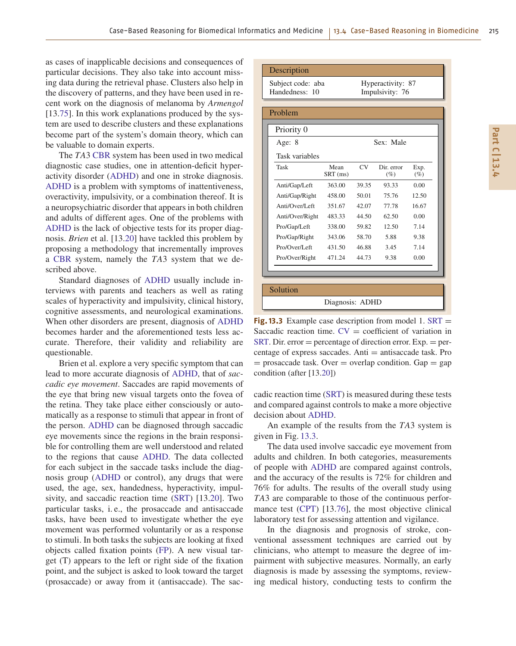<span id="page-8-1"></span>as cases of inapplicable decisions and consequences of particular decisions. They also take into account missing data during the retrieval phase. Clusters also help in the discovery of patterns, and they have been used in recent work on the diagnosis of melanoma by *Armengol* [13[.75\]](#page-14-12). In this work explanations produced by the system are used to describe clusters and these explanations become part of the system's domain theory, which can be valuable to domain experts.

The *TA*3 CBR system has been used in two medical diagnostic case studies, one in attention-deficit hyperactivity disorder (ADHD) and one in stroke diagnosis. ADHD is a problem with symptoms of inattentiveness, overactivity, impulsivity, or a combination thereof. It is a neuropsychiatric disorder that appears in both children and adults of different ages. One of the problems with ADHD is the lack of objective tests for its proper diagnosis. *Brien* et al. [13.[20](#page-12-30)] have tackled this problem by proposing a methodology that incrementally improves a CBR system, namely the *TA*3 system that we described above.

Standard diagnoses of ADHD usually include interviews with parents and teachers as well as rating scales of hyperactivity and impulsivity, clinical history, cognitive assessments, and neurological examinations. When other disorders are present, diagnosis of ADHD becomes harder and the aforementioned tests less accurate. Therefore, their validity and reliability are questionable.

Brien et al. explore a very specific symptom that can lead to more accurate diagnosis of ADHD, that of *saccadic eye movement*. Saccades are rapid movements of the eye that bring new visual targets onto the fovea of the retina. They take place either consciously or automatically as a response to stimuli that appear in front of the person. ADHD can be diagnosed through saccadic eye movements since the regions in the brain responsible for controlling them are well understood and related to the regions that cause ADHD. The data collected for each subject in the saccade tasks include the diagnosis group (ADHD or control), any drugs that were used, the age, sex, handedness, hyperactivity, impulsivity, and saccadic reaction time (SRT) [13[.20\]](#page-12-30). Two particular tasks, i. e., the prosaccade and antisaccade tasks, have been used to investigate whether the eye movement was performed voluntarily or as a response to stimuli. In both tasks the subjects are looking at fixed objects called fixation points (FP). A new visual target (T) appears to the left or right side of the fixation point, and the subject is asked to look toward the target (prosaccade) or away from it (antisaccade). The sac-

<span id="page-8-0"></span>

| Description                         |                                      |
|-------------------------------------|--------------------------------------|
| Subject code: aba<br>Handedness: 10 | Hyperactivity: 87<br>Impulsivity: 76 |
|                                     |                                      |
| Problem                             |                                      |
|                                     |                                      |
|                                     |                                      |

| Age: 8          | Sex: Male        |       |                   |             |
|-----------------|------------------|-------|-------------------|-------------|
| Task variables  |                  |       |                   |             |
| Task            | Mean<br>SRT (ms) | CV.   | Dir. error<br>(%) | Exp.<br>(%) |
| Anti/Gap/Left   | 363.00           | 39.35 | 93.33             | 0.00        |
| Anti/Gap/Right  | 458.00           | 50.01 | 75.76             | 12.50       |
| Anti/Over/Left  | 351.67           | 42.07 | 77.78             | 16.67       |
| Anti/Over/Right | 483.33           | 44.50 | 62.50             | 0.00        |
| Pro/Gap/Left    | 338.00           | 59.82 | 12.50             | 7.14        |
| Pro/Gap/Right   | 343.06           | 58.70 | 5.88              | 9.38        |
| Pro/Over/Left   | 431.50           | 46.88 | 3.45              | 7.14        |
| Pro/Over/Right  | 471.24           | 44.73 | 9.38              | 0.00        |

Solution

Diagnosis: ADHD

**Fig. 13.3** Example case description from model 1. SRT = Saccadic reaction time.  $CV = coefficient of variation in$ SRT. Dir. error  $=$  percentage of direction error. Exp.  $=$  percentage of express saccades. Anti  $=$  antisaccade task. Pro  $=$  prosaccade task. Over  $=$  overlap condition. Gap  $=$  gap condition (after [13[.20](#page-12-30)])

<span id="page-8-2"></span>cadic reaction time (SRT) is measured during these tests and compared against controls to make a more objective decision about ADHD.

An example of the results from the *TA*3 system is given in Fig. [13.3](#page-8-0).

The data used involve saccadic eye movement from adults and children. In both categories, measurements of people with ADHD are compared against controls, and the accuracy of the results is 72% for children and 76% for adults. The results of the overall study using *TA*3 are comparable to those of the continuous performance test (CPT) [13[.76\]](#page-14-13), the most objective clinical laboratory test for assessing attention and vigilance.

In the diagnosis and prognosis of stroke, conventional assessment techniques are carried out by clinicians, who attempt to measure the degree of impairment with subjective measures. Normally, an early diagnosis is made by assessing the symptoms, reviewing medical history, conducting tests to confirm the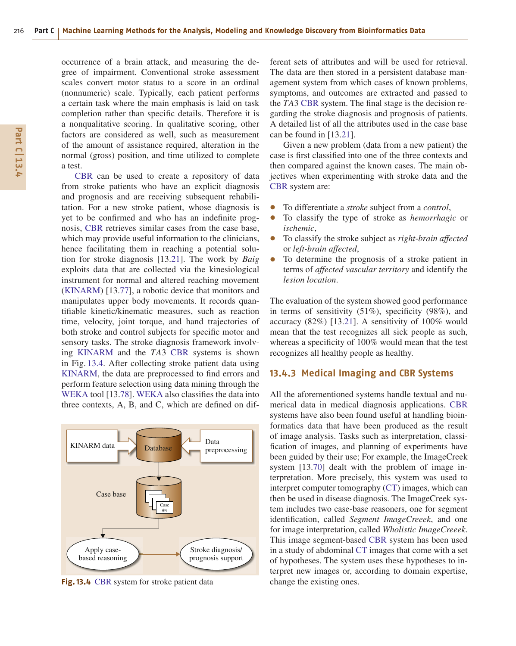occurrence of a brain attack, and measuring the degree of impairment. Conventional stroke assessment scales convert motor status to a score in an ordinal (nonnumeric) scale. Typically, each patient performs a certain task where the main emphasis is laid on task completion rather than specific details. Therefore it is a nonqualitative scoring. In qualitative scoring, other factors are considered as well, such as measurement of the amount of assistance required, alteration in the normal (gross) position, and time utilized to complete a test.

<span id="page-9-3"></span><span id="page-9-2"></span><span id="page-9-1"></span>CBR can be used to create a repository of data from stroke patients who have an explicit diagnosis and prognosis and are receiving subsequent rehabilitation. For a new stroke patient, whose diagnosis is yet to be confirmed and who has an indefinite prognosis, CBR retrieves similar cases from the case base, which may provide useful information to the clinicians, hence facilitating them in reaching a potential solution for stroke diagnosis [13.[21](#page-12-18)]. The work by *Baig* exploits data that are collected via the kinesiological instrument for normal and altered reaching movement (KINARM) [13[.77\]](#page-14-14), a robotic device that monitors and manipulates upper body movements. It records quantifiable kinetic/kinematic measures, such as reaction time, velocity, joint torque, and hand trajectories of both stroke and control subjects for specific motor and sensory tasks. The stroke diagnosis framework involving KINARM and the *TA*3 CBR systems is shown in Fig. [13.4](#page-9-1). After collecting stroke patient data using KINARM, the data are preprocessed to find errors and perform feature selection using data mining through the WEKA tool [13.[78](#page-14-15)]. WEKA also classifies the data into three contexts, A, B, and C, which are defined on dif-



**Fig. 13.4** CBR system for stroke patient data

ferent sets of attributes and will be used for retrieval. The data are then stored in a persistent database management system from which cases of known problems, symptoms, and outcomes are extracted and passed to the *TA*3 CBR system. The final stage is the decision regarding the stroke diagnosis and prognosis of patients. A detailed list of all the attributes used in the case base can be found in [13[.21\]](#page-12-18).

Given a new problem (data from a new patient) the case is first classified into one of the three contexts and then compared against the known cases. The main objectives when experimenting with stroke data and the CBR system are:

- To differentiate a *stroke* subject from a *control*,
- <span id="page-9-0"></span>• To classify the type of stroke as *hemorrhagic* or *ischemic*,
- To classify the stroke subject as *right-brain affected* or *left-brain affected*,
- To determine the prognosis of a stroke patient in terms of *affected vascular territory* and identify the *lesion location*.

The evaluation of the system showed good performance in terms of sensitivity (51%), specificity (98%), and accuracy (82%) [13[.21\]](#page-12-18). A sensitivity of 100% would mean that the test recognizes all sick people as such, whereas a specificity of 100% would mean that the test recognizes all healthy people as healthy.

#### **[13.4.3](#page-9-0) Medical Imaging and CBR Systems**

All the aforementioned systems handle textual and numerical data in medical diagnosis applications. CBR systems have also been found useful at handling bioinformatics data that have been produced as the result of image analysis. Tasks such as interpretation, classification of images, and planning of experiments have been guided by their use; For example, the ImageCreek system [13[.70\]](#page-14-7) dealt with the problem of image interpretation. More precisely, this system was used to interpret computer tomography (CT) images, which can then be used in disease diagnosis. The ImageCreek system includes two case-base reasoners, one for segment identification, called *Segment ImageCreeek*, and one for image interpretation, called *Wholistic ImageCreeek*. This image segment-based CBR system has been used in a study of abdominal CT images that come with a set of hypotheses. The system uses these hypotheses to interpret new images or, according to domain expertise, change the existing ones.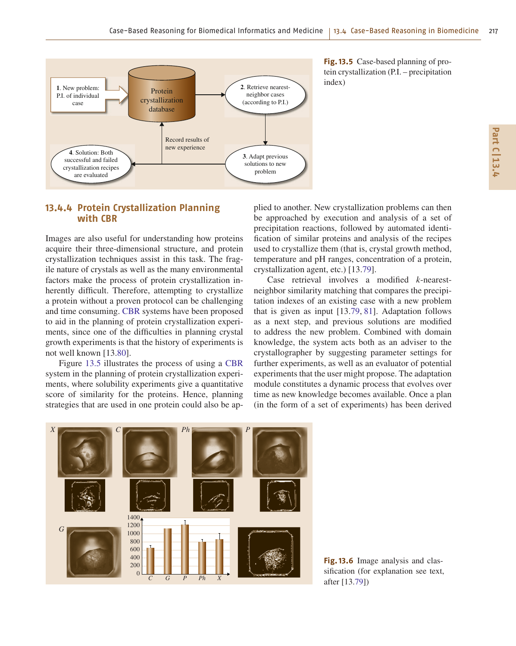<span id="page-10-1"></span><span id="page-10-0"></span>

**Fig. 13.5** Case-based planning of protein crystallization (P.I. – precipitation index)

## <span id="page-10-3"></span>**[13.4.4](#page-10-0) Protein Crystallization Planning with CBR**

<span id="page-10-2"></span>Images are also useful for understanding how proteins acquire their three-dimensional structure, and protein crystallization techniques assist in this task. The fragile nature of crystals as well as the many environmental factors make the process of protein crystallization inherently difficult. Therefore, attempting to crystallize a protein without a proven protocol can be challenging and time consuming. CBR systems have been proposed to aid in the planning of protein crystallization experiments, since one of the difficulties in planning crystal growth experiments is that the history of experiments is not well known [13[.80\]](#page-14-16).

Figure [13.5](#page-10-1) illustrates the process of using a CBR system in the planning of protein crystallization experiments, where solubility experiments give a quantitative score of similarity for the proteins. Hence, planning strategies that are used in one protein could also be ap-

<span id="page-10-4"></span>plied to another. New crystallization problems can then be approached by execution and analysis of a set of precipitation reactions, followed by automated identification of similar proteins and analysis of the recipes used to crystallize them (that is, crystal growth method, temperature and pH ranges, concentration of a protein, crystallization agent, etc.) [13[.79\]](#page-14-17).

Case retrieval involves a modified *k*-nearestneighbor similarity matching that compares the precipitation indexes of an existing case with a new problem that is given as input [13[.79,](#page-14-17) [81\]](#page-14-18). Adaptation follows as a next step, and previous solutions are modified to address the new problem. Combined with domain knowledge, the system acts both as an adviser to the crystallographer by suggesting parameter settings for further experiments, as well as an evaluator of potential experiments that the user might propose. The adaptation module constitutes a dynamic process that evolves over time as new knowledge becomes available. Once a plan (in the form of a set of experiments) has been derived



**Fig. 13.6** Image analysis and classification (for explanation see text, after [13[.79](#page-14-17)])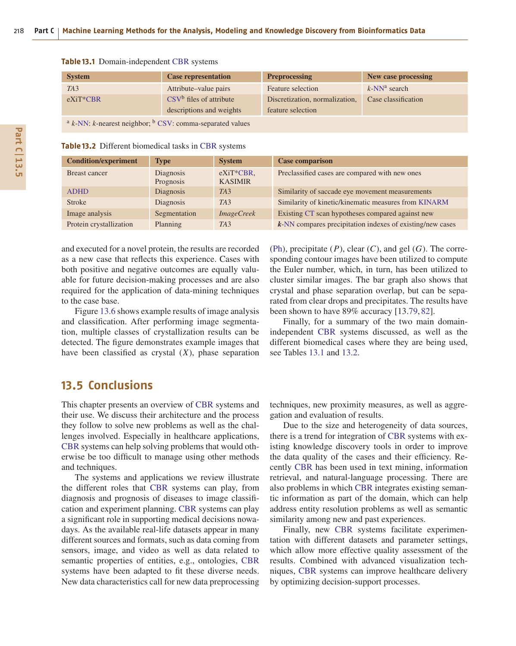| <b>System</b>                              | <b>Case representation</b>                     | <b>Preprocessing</b>           | New case processing         |  |
|--------------------------------------------|------------------------------------------------|--------------------------------|-----------------------------|--|
| TA <sub>3</sub>                            | Attribute–value pairs                          | Feature selection              | $k$ -NN <sup>a</sup> search |  |
| $eXiT*CBR$                                 | $\mathrm{CSV}^{\mathrm{b}}$ files of attribute | Discretization, normalization, | Case classification         |  |
|                                            | descriptions and weights                       | feature selection              |                             |  |
| $31 \text{ m}$ $1 \text{ m}$ $1 \text{ m}$ |                                                |                                |                             |  |

#### <span id="page-11-2"></span><span id="page-11-1"></span>**Table 13.1** Domain-independent CBR systems

k-NN: *k*-nearest neighbor; <sup>b</sup> CSV: comma-separated values

#### **Table 13.2** Different biomedical tasks in CBR systems

| <b>Condition/experiment</b> | <b>Type</b>            | <b>System</b>               | <b>Case comparison</b>                                       |
|-----------------------------|------------------------|-----------------------------|--------------------------------------------------------------|
| Breast cancer               | Diagnosis<br>Prognosis | eXiT*CBR.<br><b>KASIMIR</b> | Preclassified cases are compared with new ones               |
| <b>ADHD</b>                 | Diagnosis              | TA <sub>3</sub>             | Similarity of saccade eye movement measurements              |
| <b>Stroke</b>               | Diagnosis              | TA <sub>3</sub>             | Similarity of kinetic/kinematic measures from KINARM         |
| Image analysis              | Segmentation           | <b>ImageCreek</b>           | Existing CT scan hypotheses compared against new             |
| Protein crystallization     | Planning               | TA <sub>3</sub>             | $k$ -NN compares precipitation indexes of existing/new cases |

<span id="page-11-0"></span>and executed for a novel protein, the results are recorded as a new case that reflects this experience. Cases with both positive and negative outcomes are equally valuable for future decision-making processes and are also required for the application of data-mining techniques to the case base.

Figure [13.6](#page-10-2) shows example results of image analysis and classification. After performing image segmentation, multiple classes of crystallization results can be detected. The figure demonstrates example images that have been classified as crystal (*X*), phase separation <span id="page-11-3"></span>(Ph), precipitate (*P*), clear (*C*), and gel (*G*). The corresponding contour images have been utilized to compute the Euler number, which, in turn, has been utilized to cluster similar images. The bar graph also shows that crystal and phase separation overlap, but can be separated from clear drops and precipitates. The results have been shown to have 89% accuracy [13.[79](#page-14-17), [82](#page-14-19)].

Finally, for a summary of the two main domainindependent CBR systems discussed, as well as the different biomedical cases where they are being used, see Tables [13.1](#page-11-1) and [13.2](#page-11-2).

# **[13.5](#page-11-0) Conclusions**

This chapter presents an overview of CBR systems and their use. We discuss their architecture and the process they follow to solve new problems as well as the challenges involved. Especially in healthcare applications, CBR systems can help solving problems that would otherwise be too difficult to manage using other methods and techniques.

The systems and applications we review illustrate the different roles that CBR systems can play, from diagnosis and prognosis of diseases to image classification and experiment planning. CBR systems can play a significant role in supporting medical decisions nowadays. As the available real-life datasets appear in many different sources and formats, such as data coming from sensors, image, and video as well as data related to semantic properties of entities, e.g., ontologies, CBR systems have been adapted to fit these diverse needs. New data characteristics call for new data preprocessing techniques, new proximity measures, as well as aggregation and evaluation of results.

Due to the size and heterogeneity of data sources, there is a trend for integration of CBR systems with existing knowledge discovery tools in order to improve the data quality of the cases and their efficiency. Recently CBR has been used in text mining, information retrieval, and natural-language processing. There are also problems in which CBR integrates existing semantic information as part of the domain, which can help address entity resolution problems as well as semantic similarity among new and past experiences.

Finally, new CBR systems facilitate experimentation with different datasets and parameter settings, which allow more effective quality assessment of the results. Combined with advanced visualization techniques, CBR systems can improve healthcare delivery by optimizing decision-support processes.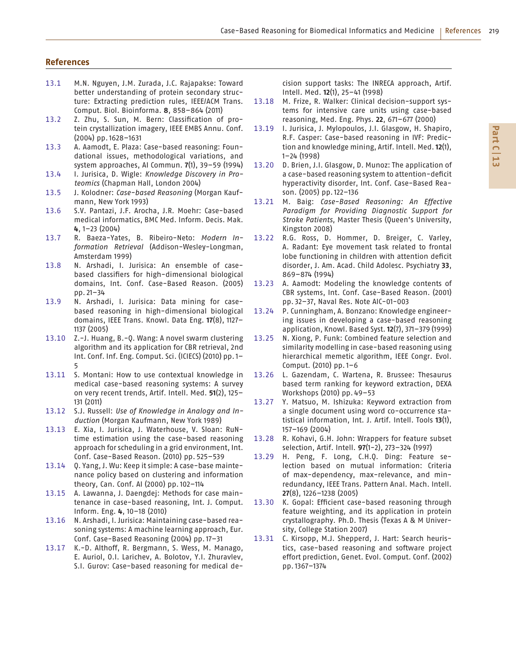### <span id="page-12-5"></span><span id="page-12-4"></span><span id="page-12-3"></span><span id="page-12-2"></span><span id="page-12-1"></span><span id="page-12-0"></span>**References**

- <span id="page-12-6"></span>[13.1](#page-0-1) M.N. Nguyen, J.M. Zurada, J.C. Rajapakse: Toward better understanding of protein secondary structure: Extracting prediction rules, IEEE/ACM Trans. Comput. Biol. Bioinforma. **8**, 858–864 (2011)
- <span id="page-12-7"></span>[13.2](#page-0-1) Z. Zhu, S. Sun, M. Bern: Classification of protein crystallization imagery, IEEE EMBS Annu. Conf. (2004) pp. 1628–1631
- <span id="page-12-8"></span>13.3 A. Aamodt, E. Plaza: Case-based reasoning: Foundational issues, methodological variations, and system approaches, AI Commun. **7**(1), 39–59 (1994)
- <span id="page-12-9"></span>[13.4](#page-0-2) I. Jurisica, D. Wigle: *Knowledge Discovery in Proteomics* (Chapman Hall, London 2004)
- 13.5 J. Kolodner: *Case-based Reasoning* (Morgan Kaufmann, New York 1993)
- <span id="page-12-10"></span>[13.6](#page-0-3) S.V. Pantazi, J.F. Arocha, J.R. Moehr: Case-based medical informatics, BMC Med. Inform. Decis. Mak. **4**, 1–23 (2004)
- <span id="page-12-11"></span>13.7 R. Baeza-Yates, B. Ribeiro-Neto: *Modern Information Retrieval* (Addison-Wesley-Longman, Amsterdam 1999)
- <span id="page-12-12"></span>13.8 N. Arshadi, I. Jurisica: An ensemble of casebased classifiers for high-dimensional biological domains, Int. Conf. Case-Based Reason. (2005) pp. 21–34
- <span id="page-12-13"></span>13.9 N. Arshadi, I. Jurisica: Data mining for casebased reasoning in high-dimensional biological domains, IEEE Trans. Knowl. Data Eng. **17**(8), 1127– 1137 (2005)
- <span id="page-12-14"></span>[13.10](#page-2-2) Z.-J. Huang, B.-Q. Wang: A novel swarm clustering algorithm and its application for CBR retrieval, 2nd Int. Conf. Inf. Eng. Comput. Sci. (ICIECS) (2010) pp. 1– 5
- <span id="page-12-16"></span><span id="page-12-15"></span>[13.11](#page-2-3) S. Montani: How to use contextual knowledge in medical case-based reasoning systems: A survey on very recent trends, Artif. Intell. Med. **51**(2), 125– 131 (2011)
- <span id="page-12-17"></span>[13.12](#page-2-4) S.J. Russell: *Use of Knowledge in Analogy and Induction* (Morgan Kaufmann, New York 1989)
- 13.13 E. Xia, I. Jurisica, J. Waterhouse, V. Sloan: RuNtime estimation using the case-based reasoning approach for scheduling in a grid environment, Int. Conf. Case-Based Reason. (2010) pp. 525–539
- [13.14](#page-2-5) Q. Yang, J. Wu: Keep it simple: A case-base maintenance policy based on clustering and information theory, Can. Conf. AI (2000) pp. 102–114
- [13.15](#page-2-6) A. Lawanna, J. Daengdej: Methods for case maintenance in case-based reasoning, Int. J. Comput. Inform. Eng. **4**, 10–18 (2010)
- [13.16](#page-2-7) N. Arshadi, I. Jurisica: Maintaining case-based reasoning systems: A machine learning approach, Eur. Conf. Case-Based Reasoning (2004) pp. 17–31
- [13.17](#page-3-4) K.-D. Althoff, R. Bergmann, S. Wess, M. Manago, E. Auriol, O.I. Larichev, A. Bolotov, Y.I. Zhuravlev, S.I. Gurov: Case-based reasoning for medical de-

cision support tasks: The INRECA approach, Artif. Intell. Med. **12**(1), 25–41 (1998)

- <span id="page-12-30"></span><span id="page-12-19"></span><span id="page-12-18"></span>[13.18](#page-3-4) M. Frize, R. Walker: Clinical decision-support systems for intensive care units using case-based reasoning, Med. Eng. Phys. **22**, 671–677 (2000)
- [13.19](#page-3-4) I. Jurisica, J. Mylopoulos, J.I. Glasgow, H. Shapiro, R.F. Casper: Case-based reasoning in IVF: Prediction and knowledge mining, Artif. Intell. Med. **12**(1), 1–24 (1998)
- <span id="page-12-21"></span><span id="page-12-20"></span>13.20 D. Brien, J.I. Glasgow, D. Munoz: The application of a case-based reasoning system to attention-deficit hyperactivity disorder, Int. Conf. Case-Based Reason. (2005) pp. 122–136
- <span id="page-12-22"></span>13.21 M. Baig: *Case-Based Reasoning: An Effective Paradigm for Providing Diagnostic Support for Stroke Patients*, Master Thesis (Queen's University, Kingston 2008)
- <span id="page-12-23"></span>[13.22](#page-3-5) R.G. Ross, D. Hommer, D. Breiger, C. Varley, A. Radant: Eye movement task related to frontal lobe functioning in children with attention deficit disorder, J. Am. Acad. Child Adolesc. Psychiatry **33**, 869–874 (1994)
- <span id="page-12-24"></span>[13.23](#page-3-6) A. Aamodt: Modeling the knowledge contents of CBR systems, Int. Conf. Case-Based Reason. (2001) pp. 32–37, Naval Res. Note AIC-01-003
- <span id="page-12-25"></span>13.24 P. Cunningham, A. Bonzano: Knowledge engineering issues in developing a case-based reasoning application, Knowl. Based Syst. **12**(7), 371–379 (1999)
- <span id="page-12-26"></span>[13.25](#page-3-7) N. Xiong, P. Funk: Combined feature selection and similarity modelling in case-based reasoning using hierarchical memetic algorithm, IEEE Congr. Evol. Comput. (2010) pp. 1–6
- <span id="page-12-27"></span>[13.26](#page-3-8) L. Gazendam, C. Wartena, R. Brussee: Thesaurus based term ranking for keyword extraction, DEXA Workshops (2010) pp. 49–53
- <span id="page-12-28"></span>[13.27](#page-3-9) Y. Matsuo, M. Ishizuka: Keyword extraction from a single document using word co-occurrence statistical information, Int. J. Artif. Intell. Tools **13**(1), 157–169 (2004)
- <span id="page-12-29"></span>[13.28](#page-3-10) R. Kohavi, G.H. John: Wrappers for feature subset selection, Artif. Intell. **97**(1-2), 273–324 (1997)
- [13.29](#page-3-11) H. Peng, F. Long, C.H.Q. Ding: Feature selection based on mutual information: Criteria of max-dependency, max-relevance, and minredundancy, IEEE Trans. Pattern Anal. Mach. Intell. **27**(8), 1226–1238 (2005)
- [13.30](#page-3-12) K. Gopal: Efficient case-based reasoning through feature weighting, and its application in protein crystallography. Ph.D. Thesis (Texas A & M University, College Station 2007)
- [13.31](#page-3-12) C. Kirsopp, M.J. Shepperd, J. Hart: Search heuristics, case-based reasoning and software project effort prediction, Genet. Evol. Comput. Conf. (2002) pp. 1367–1374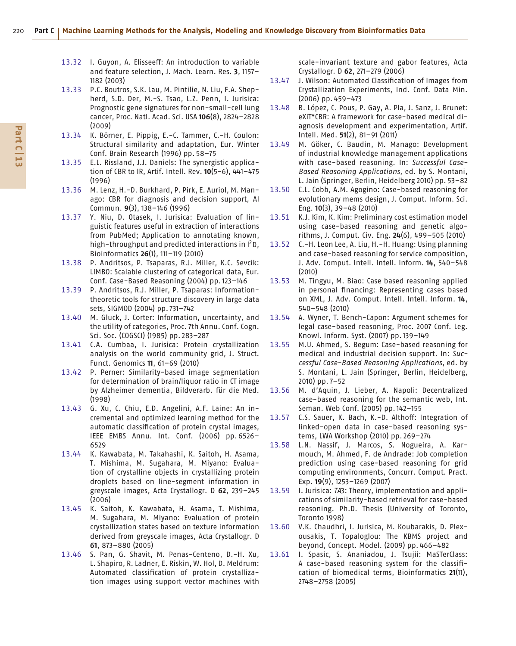- <span id="page-13-2"></span><span id="page-13-1"></span><span id="page-13-0"></span>[13.32](#page-3-13) I. Guyon, A. Elisseeff: An introduction to variable and feature selection, J. Mach. Learn. Res. **3**, 1157– 1182 (2003)
- <span id="page-13-3"></span>[13.33](#page-3-14) P.C. Boutros, S.K. Lau, M. Pintilie, N. Liu, F.A. Shepherd, S.D. Der, M.-S. Tsao, L.Z. Penn, I. Jurisica: Prognostic gene signatures for non-small-cell lung cancer, Proc. Natl. Acad. Sci. USA **106**(8), 2824–2828 (2009)
- <span id="page-13-4"></span>[13.34](#page-4-1) K. Börner, E. Pippig, E.-C. Tammer, C.-H. Coulon: Structural similarity and adaptation, Eur. Winter Conf. Brain Research (1996) pp. 58–75
- <span id="page-13-5"></span>[13.35](#page-4-1) E.L. Rissland, J.J. Daniels: The synergistic application of CBR to IR, Artif. Intell. Rev. **10**(5-6), 441–475 (1996)
- <span id="page-13-6"></span>[13.36](#page-4-1) M. Lenz, H.-D. Burkhard, P. Pirk, E. Auriol, M. Manago: CBR for diagnosis and decision support, AI Commun. **9**(3), 138–146 (1996)
- <span id="page-13-7"></span>[13.37](#page-4-2) Y. Niu, D. Otasek, I. Jurisica: Evaluation of linguistic features useful in extraction of interactions from PubMed; Application to annotating known, high-throughput and predicted interactions in I2D, Bioinformatics **26**(1), 111–119 (2010)
- <span id="page-13-8"></span>[13.38](#page-4-3) P. Andritsos, P. Tsaparas, R.J. Miller, K.C. Sevcik: LIMBO: Scalable clustering of categorical data, Eur. Conf. Case-Based Reasoning (2004) pp. 123–146
- <span id="page-13-9"></span>[13.39](#page-4-3) P. Andritsos, R.J. Miller, P. Tsaparas: Informationtheoretic tools for structure discovery in large data sets, SIGMOD (2004) pp. 731–742
- <span id="page-13-10"></span>[13.40](#page-4-4) M. Gluck, J. Corter: Information, uncertainty, and the utility of categories, Proc. 7th Annu. Conf. Cogn. Sci. Soc. (COGSCI) (1985) pp. 283–287
- 13.41 C.A. Cumbaa, I. Jurisica: Protein crystallization analysis on the world community grid, J. Struct. Funct. Genomics **11**, 61–69 (2010)
- <span id="page-13-11"></span>[13.42](#page-4-5) P. Perner: Similarity-based image segmentation for determination of brain/liquor ratio in CT image by Alzheimer dementia, Bildverarb. für die Med. (1998)
- <span id="page-13-12"></span>[13.43](#page-4-6) G. Xu, C. Chiu, E.D. Angelini, A.F. Laine: An incremental and optimized learning method for the automatic classification of protein crystal images, IEEE EMBS Annu. Int. Conf. (2006) pp. 6526– 6529
- [13.44](#page-4-7) K. Kawabata, M. Takahashi, K. Saitoh, H. Asama, T. Mishima, M. Sugahara, M. Miyano: Evaluation of crystalline objects in crystallizing protein droplets based on line-segment information in greyscale images, Acta Crystallogr. D **62**, 239–245 (2006)
- [13.45](#page-4-8) K. Saitoh, K. Kawabata, H. Asama, T. Mishima, M. Sugahara, M. Miyano: Evaluation of protein crystallization states based on texture information derived from greyscale images, Acta Crystallogr. D **61**, 873–880 (2005)
- [13.46](#page-4-9) S. Pan, G. Shavit, M. Penas-Centeno, D.-H. Xu, L. Shapiro, R. Ladner, E. Riskin, W. Hol, D. Meldrum: Automated classification of protein crystallization images using support vector machines with

<span id="page-13-14"></span><span id="page-13-13"></span>scale-invariant texture and gabor features, Acta Crystallogr. D **62**, 271–279 (2006)

- <span id="page-13-17"></span><span id="page-13-16"></span><span id="page-13-15"></span>[13.47](#page-4-10) J. Wilson: Automated Classification of Images from Crystallization Experiments, Ind. Conf. Data Min. (2006) pp. 459–473
- <span id="page-13-18"></span>13.48 B. López, C. Pous, P. Gay, A. Pla, J. Sanz, J. Brunet: eXiT\*CBR: A framework for case-based medical diagnosis development and experimentation, Artif. Intell. Med. **51**(2), 81–91 (2011)
- <span id="page-13-19"></span>13.49 M. Göker, C. Baudin, M. Manago: Development of industrial knowledge management applications with case-based reasoning. In: *Successful Case-Based Reasoning Applications*, ed. by S. Montani, L. Jain (Springer, Berlin, Heidelberg 2010) pp. 53–82
- <span id="page-13-20"></span>[13.50](#page-5-1) C.L. Cobb, A.M. Agogino: Case-based reasoning for evolutionary mems design, J. Comput. Inform. Sci. Eng. **10**(3), 39–48 (2010)
- <span id="page-13-21"></span>[13.51](#page-5-2) K.J. Kim, K. Kim: Preliminary cost estimation model using case-based reasoning and genetic algorithms, J. Comput. Civ. Eng. **24**(6), 499–505 (2010)
- <span id="page-13-22"></span>[13.52](#page-5-3) C.-H. Leon Lee, A. Liu, H.-H. Huang: Using planning and case-based reasoning for service composition, J. Adv. Comput. Intell. Intell. Inform. **14**, 540–548 (2010)
- <span id="page-13-23"></span>[13.53](#page-5-4) M. Tingyu, M. Biao: Case based reasoning applied in personal financing: Representing cases based on XML, J. Adv. Comput. Intell. Intell. Inform. **14**, 540–548 (2010)
- <span id="page-13-24"></span>[13.54](#page-5-5) A. Wyner, T. Bench-Capon: Argument schemes for legal case-based reasoning, Proc. 2007 Conf. Leg. Knowl. Inform. Syst. (2007) pp. 139–149
- <span id="page-13-25"></span>[13.55](#page-5-6) M.U. Ahmed, S. Begum: Case-based reasoning for medical and industrial decision support. In: *Successful Case-Based Reasoning Applications*, ed. by S. Montani, L. Jain (Springer, Berlin, Heidelberg, 2010) pp. 7–52
- <span id="page-13-26"></span>[13.56](#page-5-7) M. d'Aquin, J. Lieber, A. Napoli: Decentralized case-based reasoning for the semantic web, Int. Seman. Web Conf. (2005) pp. 142–155
- <span id="page-13-27"></span>[13.57](#page-5-8) C.S. Sauer, K. Bach, K.-D. Althoff: Integration of linked-open data in case-based reasoning systems, LWA Workshop (2010) pp. 269–274
- <span id="page-13-28"></span>[13.58](#page-5-9) L.N. Nassif, J. Marcos, S. Nogueira, A. Karmouch, M. Ahmed, F. de Andrade: Job completion prediction using case-based reasoning for grid computing environments, Concurr. Comput. Pract. Exp. **19**(9), 1253–1269 (2007)
- [13.59](#page-5-10) I. Jurisica: *TA*3: Theory, implementation and applications of similarity-based retrieval for case-based reasoning. Ph.D. Thesis (University of Toronto, Toronto 1998)
- [13.60](#page-6-1) V.K. Chaudhri, I. Jurisica, M. Koubarakis, D. Plexousakis, T. Topaloglou: The KBMS project and beyond, Concept. Model. (2009) pp. 466–482
- [13.61](#page-6-2) I. Spasic, S. Ananiadou, J. Tsujii: MaSTerClass: A case-based reasoning system for the classification of biomedical terms, Bioinformatics **21**(11), 2748–2758 (2005)

Springer Handbook *of* Bio-/Neuroinformatics<br>*Kasabov (Ed.)* • © Springer 2014